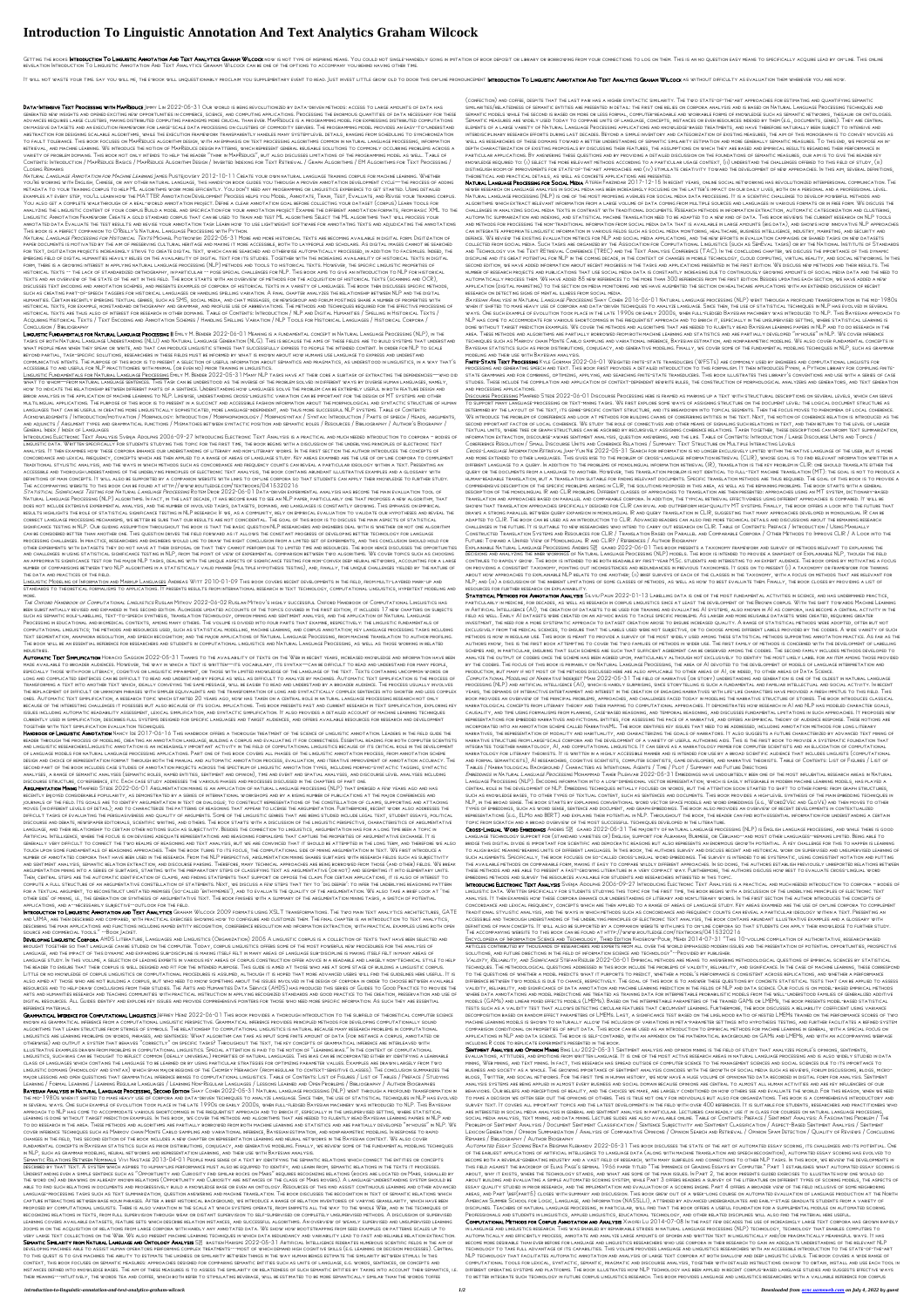## **Introduction To Linguistic Annotation And Text Analytics Graham Wilcock**

GETTING THE BOOKS **INTRODUCTION AND TEXT ANALYTICS GRAHAM WILCOCK** NOW IS NOT TYPE OF INSPIRING MEANS. YOU COULD NOT SINGLE-HANDEDLY GOING IN IMITATION OF BOOK DEPOSIT OR LIBRARY OR BORROWING FROM YOUR CONNECTIONS TO LOG O revelation Introduction To Linguistic Annotation And Text Analytics Graham Wilcock can be one of the options to accompany you behind having other time.

IT WILL NOT WASTE YOUR TIME. SAY YOU WILL ME, THE E-BOOK WILL UNQUESTIONABLY PROCLAIM YOU SUPPLEMENTARY EVENT TO READ. JUST INVEST LITTLE GROW OLD TO DOOR THIS ON-LINE PRONOUNCEMENT INTRODUCTION TO LINGUISTIC ANNOTATION AN

DATA-INTENSIVE TEXT PROCESSING WITH MAPREDUCE JIMMY LIN 2022-05-31 OUR WORLD IS BEING REVOLUTIONIZED BY DATA-DRIVEN METHODS: ACCESS TO LARGE AMOUNTS OF DATA HAS generated new insights and opened exciting new opportunities in commerce, science, and computing applications. Processing the enormous quantities of data necessary for these advances requires large clusters, making distributed computing paradigms more crucial than ever. MapReduce is a programming model for expressing distributed computations on massive datasets and an execution framework for large-scale data processing on clusters of commodity servers. The programming model provides an easy-to-understand abstraction for designing scalable algorithms, while the execution framework transparently handles many system-level details, ranging from scheduling to synchronization to fault tolerance. This book focuses on MapReduce algorithm design, with an emphasis on text processing algorithms common in natural language processing, information retrieval, and machine learning. We introduce the notion of MapReduce design patterns, which represent general reusable solutions to commonly occurring problems across a variety of problem domains. This book not only intends to help the reader "think in MapReduce", but also discusses limitations of the programming model as well. Table of Contents: Introduction / MapReduce Basics / MapReduce Algorithm Design / Inverted Indexing for Text Retrieval / Graph Algorithms / EM Algorithms for Text Processing / Closing Remarks

Natural Language Annotation for Machine Learning James Pustejovsky 2012-10-11 Create your own natural language training corpus for machine learning. Whether you're working with English, Chinese, or any other natural language, this hands-on book guides you through a proven annotation development cycle—the process of adding metadata to your training corpus to help ML algorithms work more efficiently. You don't need any programming or linguistics experience to get started. Using detailed examples at every step, you'll learn how the MATTER Annotation Development Process helps you Model, Annotate, Train, Test, Evaluate, and Revise your training corpus. You also get a complete walkthrough of a real-world annotation project. Define a clear annotation goal before collecting your dataset (corpus) Learn tools for analyzing the linguistic content of your corpus Build a model and specification for your annotation project Examine the different annotation formats, from basic XML to the Linguistic Annotation Framework Create a gold standard corpus that can be used to train and test ML algorithms Select the ML algorithms that will process your annotated data Evaluate the test results and revise your annotation task Learn how to use lightweight software for annotating texts and adjudicating the annotations This book is a perfect companion to O'Reilly's Natural Language Processing with Python.

Na*tural Language Processing for Historical Texts* Michael Piotrowski 2022-05-31 More and more historical texts are becoming available in digital form. Digitization of paper documents is motivated by the aim of preserving cultural heritage and making it more accessible, both to laypeople and scholars. As digital images cannot be searched for text, digitization projects increasingly strive to create digital text, which can be searched and otherwise automatically processed, in addition to facsimiles. Indeed, the emerging field of digital humanities heavily relies on the availability of digital text for its studies. Together with the increasing availability of historical texts in digital form, there is a growing interest in applying natural language processing (NLP) methods and tools to historical texts. However, the specific linguistic properties of historical texts -- the lack of standardized orthography, in particular -- pose special challenges for NLP. This book aims to give an introduction to NLP for historical texts and an overview of the state of the art in this field. The book starts with an overview of methods for the acquisition of historical texts (scanning and OCR), discusses text encoding and annotation schemes, and presents examples of corpora of historical texts in a variety of languages. The book then discusses specific methods, such as creating part-of-speech taggers for historical languages or handling spelling variation. A final chapter analyzes the relationship between NLP and the digital humanities. Certain recently emerging textual genres, such as SMS, social media, and chat messages, or newsgroup and forum postings share a number of properties with historical texts, for example, nonstandard orthography and grammar, and profuse use of abbreviations. The methods and techniques required for the effective processing of historical texts are thus also of interest for research in other domains. Table of Contents: Introduction / NLP and Digital Humanities / Spelling in Historical Texts / Acquiring Historical Texts / Text Encoding and Annotation Schemes / Handling Spelling Variation / NLP Tools for Historical Languages / Historical Corpora / Conclusion / Bibliography

LINGUISTIC FUNDAMENTALS FOR NATURAL LANGUAGE PROCESSING II EMILY M. BENDER 2022-06-01 MEANING IS A FUNDAMENTAL CONCEPT IN NATURAL LANGUAGE PROCESSING (NLP), IN THE tasks of both Natural Language Understanding (NLU) and Natural Language Generation (NLG). This is because the aims of these fields are to build systems that understand what people mean when they speak or write, and that can produce linguistic strings that successfully express to people the intended content. In order for NLP to scale beyond partial, task-specific solutions, researchers in these fields must be informed by what is known about how humans use language to express and understand communicative intents. The purpose of this book is to present a selection of useful information about semantics and pragmatics, as understood in linguistics, in a way that's accessible to and useful for NLP practitioners with minimal (or even no) prior training in linguistics.

Linguistic Modeling of Information and Markup Languages Andreas Witt 2010-01-09 This book covers recent developments in the field, from multi-layered mark-up and standards to theoretical formalisms to applications. It presents results from international research in text technology, computational linguistics, hypertext modeling and MORE.

THE OXFORD HANDBOOK OF COMPUTATIONAL LINGUISTICS RUSLAN MITKOV 2022-06-02 RUSLAN MITKOV'S HIGHLY SUCCESSFUL OXFORD HANDBOOK OF COMPUTATIONAL LINGUISTICS HAS been substantially revised and expanded in this second edition. Alongside updated accounts of the topics covered in the first edition, it includes 17 new chapters on subjects such as semantic role-labelling, text-to-speech synthesis, translation technology, opinion mining and sentiment analysis, and the application of Natural Language Processing in educational and biomedical contexts, among many others. The volume is divided into four parts that examine, respectively: the linguistic fundamentals of computational linguistics; the methods and resources used, such as statistical modelling, machine learning, and corpus annotation; key language processing tasks including text segmentation, anaphora resolution, and speech recognition; and the major applications of Natural Language Processing, from machine translation to author profiling. The book will be an essential reference for researchers and students in computational linguistics and Natural Language Processing, as well as those working in related industries.

AUTOMATIC TEXT SIMPLIFICATION HORACIO SAGGION 2022-05-31 THANKS TO THE AVAILABILITY OF TEXTS ON THE WEB IN RECENT YEARS, INCREASED KNOWLEDGE AND INFORMATION HAVE BEEN made available to broader audiences. However, the way in which a text is written—its vocabulary, its syntax—can be difficult to read and understand for many people, especially those with poor literacy, cognitive or linguistic impairment, or those with limited knowledge of the language of the text. Texts containing uncommon words or LONG AND COMPLICATED SENTENCES CAN BE DIFFICULT TO READ AND UNDERSTAND BY PEOPLE AS WELL AS DIFFICULT TO ANALYZE BY MACHINES. AUTOMATIC TEXT SIMPLIFICATION IS THE PROCESS OF transforming a text into another text which, ideally conveying the same message, will be easier to read and understand by a broader audience. The process usually involves the replacement of difficult or unknown phrases with simpler equivalents and the transformation of long and syntactically complex sentences into shorter and less complex ones. Automatic text simplification, a research topic which started 20 years ago, now has taken on a central role in natural language processing research not only because of the interesting challenges it posesses but also because of its social implications. This book presents past and current research in text simplification, exploring key issues including automatic readability assessment, lexical simplification, and syntactic simplification. It also provides a detailed account of machine learning techniques currently used in simplification, describes full systems designed for specific languages and target audiences, and offers available resources for research and development together with text simplification evaluation techniques.

Linguistic Fundamentals for Natural Language Processing Emily M. Bender 2022-05-31 Many NLP tasks have at their core a subtask of extracting the dependencies—who did what to whom—from natural language sentences. This task can be understood as the inverse of the problem solved in different ways by diverse human languages, namely, how to indicate the relationship between different parts of a sentence. Understanding how languages solve the problem can be extremely useful in both feature design and error analysis in the application of machine learning to NLP. Likewise, understanding cross-linguistic variation can be important for the design of MT systems and other multilingual applications. The purpose of this book is to present in a succinct and accessible fashion information about the morphological and syntactic structure of human languages that can be useful in creating more linguistically sophisticated, more language-independent, and thus more successful NLP systems. Table of Contents: Acknowledgments / Introduction/motivation / Morphology: Introduction / Morphophonology / Morphosyntax / Syntax: Introduction / Parts of speech / Heads, arguments, and adjuncts / Argument types and grammatical functions / Mismatches between syntactic position and semantic roles / Resources / Bibliography / Author's Biography / General Index / Index of Languages

HANDBOOK OF LINGUISTIC ANNOTATION NANCY IDE 2017-06-16 THIS HANDBOOK OFFERS A THOROUGH TREATMENT OF THE SCIENCE OF LINGUISTIC ANNOTATION. LEADERS IN THE FIELD GUIDE THE reader through the process of modeling, creating an annotation language, building a corpus and evaluating it for correctness. Essential reading for both computer scientists and linguistic researchers.Linguistic annotation is an increasingly important activity in the field of computational linguistics because of its critical role in the development of language models for natural language processing applications. Part one of this book covers all phases of the linguistic annotation process, from annotation scheme design and choice of representation format through both the manual and automatic annotation process, evaluation, and iterative improvement of annotation accuracy. The second part of the book includes case studies of annotation projects across the spectrum of linguistic annotation types, including morpho-syntactic tagging, syntactic analyses, a range of semantic analyses (semantic roles, named entities, sentiment and opinion), time and event and spatial analyses, and discourse level analyses including discourse structure, co-reference, etc. Each case study addresses the various phases and processes discussed in the chapters of part one.

Introducing Electronic Text Analysis Svenja Adolphs 2006-09-27 Introducing Electronic Text Analysis is a practical and much needed introduction to corpora – bodies of linguistic data. Written specifically for students studying this topic for the first time, the book begins with a discussion of the underlying principles of electronic text analysis. It then examines how these corpora enhance our understanding of literary and non-literary works. In the first section the author introduces the concepts of concordance and lexical frequency, concepts which are then applied to a range of areas of language study. Key areas examined are the use of on-line corpora to complement traditional stylistic analysis, and the ways in which methods such as concordance and frequency counts can reveal a particular ideology within a text. Presenting an accessible and thorough understanding of the underlying principles of electronic text analysis, the book contains abundant illustrative examples and a glossary with definitions of main concepts. It will also be supported by a companion website with links to on-line corpora so that students can apply their knowledge to further study. The accompanying website to this book can be found at http://www.routledge.com/textbooks/0415320216

Sta*tistical Significance Testing for Natural Language Processing* Rotem Dror 2022-06-01 Data-driven experimental analysis has become the main evaluation tool of

ARGUMENTATION MINING MANFRED STEDE 2022-06-01 ARGUMENTATION MINING IS AN APPLICATION OF NATURAL LANGUAGE PROCESSING (NLP) THAT EMERGED A FEW YEARS AGO AND HAS recently enjoyed considerable popularity, as demonstrated by a series of international workshops and by a rising number of publications at the major conferences and journals of the field. Its goals are to identify argumentation in text or dialogue; to construct representations of the constellation of claims, supporting and attacking moves (in different levels of detail); and to characterize the patterns of reasoning that appear to license the argumentation. Furthermore, recent work also addresses the difficult tasks of evaluating the persuasiveness and quality of arguments. Some of the linguistic genres that are being studied include legal text, student essays, political discourse and debate, newspaper editorials, scientific writing, and others. The book starts with a discussion of the linguistic perspective, characteristics of argumentative language, and their relationship to certain other notions such as subjectivity. Besides the connection to linguistics, argumentation has for a long time been a topic in Artificial Intelligence, where the focus is on devising adequate representations and reasoning formalisms that capture the properties of argumentative exchange. It is generally very difficult to connect the two realms of reasoning and text analysis, but we are convinced that it should be attempted in the long term, and therefore we also touch upon some fundamentals of reasoning approaches. Then the book turns to its focus, the computational side of mining argumentation in text. We first introduce a number of annotated corpora that have been used in the research. From the NLP perspective, argumentation mining shares subtasks with research fields such as subjectivity and sentiment analysis, semantic relation extraction, and discourse parsing. Therefore, many technical approaches are being borrowed from those (and other) fields. We break argumentation mining into a series of subtasks, starting with the preparatory steps of classifying text as argumentative (or not) and segmenting it into elementary units. Then, central steps are the automatic identification of claims, and finding statements that support or oppose the claim. For certain applications, it is also of interest to compute a full structure of an argumentative constellation of statements. Next, we discuss a few steps that try to 'dig deeper': to infer the underlying reasoning pattern for a textual argument, to reconstruct unstated premises (so-called 'enthymemes'), and to evaluate the quality of the argumentation. We also take a brief look at 'the other side' of mining, i.e., the generation or synthesis of argumentative text. The book finishes with a summary of the argumentation mining tasks, a sketch of potential applications, and a--necessarily subjective--outlook for the field.

INTRODUCTION TO LINGUISTIC ANNOTATION AND TEXT ANALYTICS GRAHAM WILCOCK 2009 FORMATS USING XSLT TRANSFORMATIONS. THE TWO MAIN TEXT ANALYTICS ARCHITECTURES, GATE and UIMA, are then described and compared, with practical exercises showing how to configure and customize them. The final chapter is an introduction to text analytics, describing the main applications and functions including named entity recognition, coreference resolution and information extraction, with practical examples using both open source and commercial tools." --Book Jacket.

Natural Language Processing (NLP) algorithms. In fact, in the last decade, it has become rare to see an NLP paper, particularly one that proposes a new algorithm, that does not include extensive experimental analysis, and the number of involved tasks, datasets, domains, and languages is constantly growing. This emphasis on empirical results highlights the role of statistical significance testing in NLP research: If we, as a community, rely on empirical evaluation to validate our hypotheses and reveal the correct language processing mechanisms, we better be sure that our results are not coincidental. The goal of this book is to discuss the main aspects of statistical significance testing in NLP. Our guiding assumption throughout the book is that the basic question NLP researchers and engineers deal with is whether or not one algorithm can be considered better than another one. This question drives the field forward as it allows the constant progress of developing better technology for language processing challenges. In practice, researchers and engineers would like to draw the right conclusion from a limited set of experiments, and this conclusion should hold for other experiments with datasets they do not have at their disposal or that they cannot perform due to limited time and resources. The book hence discusses the opportunities and challenges in using statistical significance testing in NLP, from the point of view of experimental comparison between two algorithms. We cover topics such as choosing an appropriate significance test for the major NLP tasks, dealing with the unique aspects of significance testing for non-convex deep neural networks, accounting for a large number of comparisons between two NLP algorithms in a statistically valid manner (multiple hypothesis testing), and, finally, the unique challenges yielded by the nature of the data and practices of the field.

DEVELOPING LINGUISTIC CORPORA AHDS LITERATURE, LANGUAGES AND LINGUISTICS (ORGANIZATION) 2005 A LINGUISTIC CORPUS IS A COLLECTION OF TEXTS THAT HAVE BEEN SELECTED AND brought together so that language can be studied on the computer. Today, corpus linguistics offers some of the most powerful new procedures for the analysis of language, and the impact of this dynamic and expanding sub-discipline is making itself felt in many areas of language sub-discipline is making itself felt in many areas of language study. In this volume, a selection of leading experts in various key areas of corpus construction offer advice in a readable and largely non-technical style to help the reader to ensure that their corpus is well designed and fit for the intended purpose. This guide is aimed at those who are at some stage of building a linguistic corpus. Little or no knowledge of corpus linguistics or computational procedures is assumed, although it is hoped that more advanced users will find the guidelines here useful. It is also aimed at those who are not building a corpus, but who need to know something about the issues involved in the design of corpora in order to choose between available resources and to help draw conclusions from their studies. The Arts and Humanities Data Service (AHDS) has produced this series of Guides to Good Practice to provide the arts and humanities research and teaching communities with practical instruction in applying recognized standards and good practice to the creation, preservation and use of digital resources. All Guides identify and explore key issues and provide comprehensive pointers for those who need more specific information. As such they are essential reference materials. **GRAMMATICAL INFERENCE FOR COMPUTATIONAL LINGUISTICS** JEFFREY HEINZ 2022-06-01 THIS BOOK PROVIDES A THOROUGH INTRODUCTION TO THE SUBFIELD OF THEORETICAL COMPUTER SCIENCE known as grammatical inference from a computational linguistic perspective. Grammatical inference provides principled methods for developing computationally sound algorithms that learn structure from strings of symbols. The relationship to computational linguistics is natural because many research problems in computational linguistics are learning problems on words, phrases, and sentences: What algorithm can take as input some finite amount of data (for instance a corpus, annotated or otherwise) and output a system that behaves "correctly" on specific tasks? Throughout the text, the key concepts of grammatical inference are interleaved with illustrative examples drawn from problems in computational linguistics. Special attention is paid to the notion of "learning bias." In the context of computational linguistics, such bias can be thought to reflect common (ideally universal) properties of natural languages. This bias can be incorporated either by identifying a learnable class of languages which contains the language to be learned or by using particular strategies for optimizing parameter values. Examples are drawn largely from two linguistic domains (phonology and syntax) which span major regions of the Chomsky Hierarchy (from regular to context-sensitive classes). The conclusion summarizes the major lessons and open questions that grammatical inference brings to computational linguistics. Table of Contents: List of Figures / List of Tables / Preface / Studying Learning / Formal Learning / Learning Regular Languages / Learning Non-Regular Languages / Lessons Learned and Open Problems / Bibliography / Author Biographies Bayesian Analysis in Natural Language Processing, Second Edition Shay Cohen 2022-05-31 Natural language processing (NLP) went through a profound transformation in the mid-1980s when it shifted to make heavy use of corpora and data-driven techniques to analyze language. Since then, the use of statistical techniques in NLP has evolved in several ways. One such example of evolution took place in the late 1990s or early 2000s, when full-fledged Bayesian machinery was introduced to NLP. This Bayesian approach to NLP has come to accommodate various shortcomings in the frequentist approach and to enrich it, especially in the unsupervised setting, where statistical learning is done without target prediction examples. In this book, we cover the methods and algorithms that are needed to fluently read Bayesian learning papers in NLP and to do research in the area. These methods and algorithms are partially borrowed from both machine learning and statistics and are partially developed "in-house" in NLP. We cover inference techniques such as Markov chain Monte Carlo sampling and variational inference, Bayesian estimation, and nonparametric modeling. In response to rapid changes in the field, this second edition of the book includes a new chapter on representation learning and neural networks in the Bayesian context. We also cover fundamental concepts in Bayesian statistics such as prior distributions, conjugacy, and generative modeling. Finally, we review some of the fundamental modeling techniques in NLP, such as grammar modeling, neural networks and representation learning, and their use with Bayesian analysis. Semantic Relations Between Nominals Vivi Nastase 2013-04-01 People make sense of a text by identifying the semantic relations which connect the entities or concepts described by that text. A system which aspires to human-like performance must also be equipped to identify, and learn from, semantic relations in the texts it processes. Understanding even a simple sentence such as "Opportunity and Curiosity find similar rocks on Mars" requires recognizing relations (rocks are located on Mars, signalled by the word on) and drawing on already known relations (Opportunity and Curiosity are instances of the class of Mars rovers). A language-understanding system should be able to find such relations in documents and progressively build a knowledge base or even an ontology. Resources of this kind assist continuous learning and other advanced language-processing tasks such as text summarization, question answering and machine translation. The book discusses the recognition in text of semantic relations which capture interactions between base noun phrases. After a brief historical background, we introduce a range of relation inventories of varying granularity, which have been proposed by computational linguists. There is also variation in the scale at which systems operate, from snippets all the way to the whole Web, and in the techniques of recognizing relations in texts, from full supervision through weak or distant supervision to self-supervised or completely unsupervised methods. A discussion of supervised learning covers available datasets, feature sets which describe relation instances, and successful algorithms. An overview of weakly supervised and unsupervised learning zooms in on the acquisition of relations from large corpora with hardly any annotated data. We show how bootstrapping from seed examples or patterns scales up to very large text collections on the Web. We also present machine learning techniques in which data redundancy and variability lead to fast and reliable relation extraction. SEMANTIC SIMILARITY FROM NATURAL LANGUAGE AND ONTOLOGY ANALYSIS SP BASTIEN HARISPE 2022-05-31 ARTIFICIAL INTELLIGENCE FEDERATES NUMEROUS SCIENTIFIC FIELDS IN THE AIM OF developing machines able to assist human operators performing complex treatments---most of which demand high cognitive skills (e.g. learning or decision processes). Central to this quest is to give machines the ability to estimate the likeness or similarity between things in the way human beings estimate the similarity between stimuli. In this context, this book focuses on semantic measures: approaches designed for comparing semantic entities such as units of language, e.g. words, sentences, or concepts and instances defined into knowledge bases. The aim of these measures is to assess the similarity or relatedness of such semantic entities by taking into account their semantics, i.e. their meaning---intuitively, the words tea and coffee, which both refer to stimulating beverage, will be estimated to be more semantically similar than the words toffee

NATURAL LANGUAGE PROCESSING FOR SOCIAL MEDIA ATEFEH FARZINDAR 2017-12-15 IN RECENT YEARS, ONLINE SOCIAL NETWORKING HAS REVOLUTIONIZED INTERPERSONAL COMMUNICATION. THE newer research on language analysis in social media has been increasingly focusing on the latter's impact on our daily lives, both on a personal and a professional level. Natural language processing (NLP) is one of the most promising avenues for social media data processing. It is a scientific challenge to develop powerful methods and algorithms which extract relevant information from a large volume of data coming from multiple sources and languages in various formats or in free form. We discuss the challenges in analyzing social media texts in contrast with traditional documents. Research methods in information extraction, automatic categorization and clustering, automatic summarization and indexing, and statistical machine translation need to be adapted to a new kind of data. This book reviews the current research on NLP tools and methods for processing the non-traditional information from social media data that is available in large amounts (big data), and shows how innovative NLP approaches can integrate appropriate linguistic information in various fields such as social media monitoring, healthcare, business intelligence, industry, marketing, and security and defence. We review the existing evaluation metrics for NLP and social media applications, and the new efforts in evaluation campaigns or shared tasks on new datasets collected from social media. Such tasks are organized by the Association for Computational Linguistics (such as SemEval tasks) or by the National Institute of Standards and Technology via the Text REtrieval Conference (TREC) and the Text Analysis Conference (TAC). In the concluding chapter, we discuss the importance of this dynamic discipline and its great potential for NLP in the coming decade, in the context of changes in mobile technology, cloud computing, virtual reality, and social networking. In this second edition, we have added information about recent progress in the tasks and applications presented in the first edition. We discuss new methods and their results. The number of research projects and publications that use social media data is constantly increasing due to continuously growing amounts of social media data and the need to automatically process them. We have added 85 new references to the more than 300 references from the first edition. Besides updating each section, we have added a new application (digital marketing) to the section on media monitoring and we have augmented the section on healthcare applications with an extended discussion of recent research on detecting signs of mental illness from social media.

BAYESIAN ANALYSIS IN NATURAL LANGUAGE PROCESSING SHAY COHEN 2016-06-01 NATURAL LANGUAGE PROCESSING (NLP) WENT THROUGH A PROFOUND TRANSFORMATION IN THE MID-1980S when it shifted to make heavy use of corpora and data-driven techniques to analyze language. Since then, the use of statistical techniques in NLP has evolved in several ways. One such example of evolution took place in the late 1990s or early 2000s, when full-fledged Bayesian machinery was introduced to NLP. This Bayesian approach to NLP HAS COME TO ACCOMMODATE FOR VARIOUS SHORTCOMINGS IN THE FREQUENTIST APPROACH AND TO ENRICH IT, ESPECIALLY IN THE UNSUPERVISED SETTING, WHERE STATISTICAL LEARNING IS done without target prediction examples. We cover the methods and algorithms that are needed to fluently read Bayesian learning papers in NLP and to do research in the area. These methods and algorithms are partially borrowed from both machine learning and statistics and are partially developed "in-house" in NLP. We cover inference techniques such as Markov chain Monte Carlo sampling and variational inference, Bayesian estimation, and nonparametric modeling. We also cover fundamental concepts in Bayesian statistics such as prior distributions, conjugacy, and generative modeling. Finally, we cover some of the fundamental modeling techniques in NLP, such as grammar modeling and their use with Bayesian analysis.

FINITE-STATE TEXT PROCESSING KYLE GORMAN 2022-06-01 WEIGHTED FINITE-STATE TRANSDUCERS (WFSTS) ARE COMMONLY USED BY ENGINEERS AND COMPUTATIONAL LINGUISTS FOR processing and generating speech and text. This book first provides a detailed introduction to this formalism. It then introduces Pynini, a Python library for compiling finitestate grammars and for combining, optimizing, applying, and searching finite-state transducers. This book illustrates this library's conventions and use with a series of case studies. These include the compilation and application of context-dependent rewrite rules, the construction of morphological analyzers and generators, and text generation and processing applications.

CROSS-LANGUAGE INFORMATION RETRIEVAL JIAN-YUN NIE 2022-05-31 SEARCH FOR INFORMATION IS NO LONGER EXCLUSIVELY LIMITED WITHIN THE NATIVE LANGUAGE OF THE USER, BUT IS MORE and more extended to other languages. This gives rise to the problem of cross-language information retrieval (CLIR), whose goal is to find relevant information written in a different language to a query. In addition to the problems of monolingual information retrieval (IR), translation is the key problem in CLIR: one should translate either the query or the documents from a language to another. However, this translation problem is not identical to full-text machine translation (MT): the goal is not to produce a human-readable translation, but a translation suitable for finding relevant documents. Specific translation methods are thus required. The goal of this book is to provide a comprehensive description of the specific problems arising in CLIR, the solutions proposed in this area, as well as the remaining problems. The book starts with a general description of the monolingual IR and CLIR problems. Different classes of approaches to translation are then presented: approaches using an MT system, dictionary-based translation and approaches based on parallel and comparable corpora. In addition, the typical retrieval effectiveness using different approaches is compared. It will be shown that translation approaches specifically designed for CLIR can rival and outperform high-quality MT systems. Finally, the book offers a look into the future that draws a strong parallel between query expansion in monolingual IR and query translation in CLIR, suggesting that many approaches developed in monolingual IR can be adapted to CLIR. The book can be used as an introduction to CLIR. Advanced readers can also find more technical details and discussions about the remaining research challenges in the future. It is suitable to new researchers who intend to carry out research on CLIR. Table of Contents: Preface / Introduction / Using Manually Constructed Translation Systems and Resources for CLIR / Translation Based on Parallel and Comparable Corpora / Other Methods to Improve CLIR / A Look into the Future: Toward a Unified View of Monolingual IR and CLIR? / References / Author Biography

EXPLAINABLE NATURAL LANGUAGE PROCESSING ANDERS SP GAARD 2022-06-01 THIS BOOK PRESENTS A TAXONOMY FRAMEWORK AND SURVEY OF METHODS RELEVANT TO EXPLAINING THE decisions and analyzing the inner workings of Natural Language Processing (NLP) models. The book is intended to provide a snapshot of Explainable NLP, though the field continues to rapidly grow. The book is intended to be both readable by first-year M.Sc. students and interesting to an expert audience. The book opens by motivating a focus on providing a consistent taxonomy, pointing out inconsistencies and redundancies in previous taxonomies. It goes on to present (i) a taxonomy or framework for thinking about how approaches to explainable NLP relate to one another; (ii) brief surveys of each of the classes in the taxonomy, with a focus on methods that are relevant for NLP; AND (III) A DISCUSSION OF THE INHERENT LIMITATIONS OF SOME CLASSES OF METHODS, AS WELL AS HOW TO BEST EVALUATE THEM. FINALLY, THE BOOK CLOSES BY PROVIDING A LIST OF resources for further research on explainability.

STATISTICAL METHODS FOR ANNOTATION ANALYSIS SILVIU PAUN 2022-01-13 LABELLING DATA IS ONE OF THE MOST FUNDAMENTAL ACTIVITIES IN SCIENCE, AND HAS UNDERPINNED PRACTICE, particularly in medicine, for decades, as well as research in corpus linguistics since at least the development of the Brown corpus. With the shift towards Machine Learning in Artificial Intelligence (AI), the creation of datasets to be used for training and evaluating AI systems, also known in AI as corpora, has become a central activity in the field as well. Early AI datasets were created on an ad-hoc basis to tackle specific problems. As larger and more reusable datasets were created, requiring greater investment, the need for a more systematic approach to dataset creation arose to ensure increased quality. A range of statistical methods were adopted, often but not exclusively from the medical sciences, to ensure that the labels used were not subjective, or to choose among different labels provided by the coders. A wide variety of such methods is now in regular use. This book is meant to provide a survey of the most widely used among these statistical methods supporting annotation practice. As far as the authors know, this is the first book attempting to cover the two families of methods in wider use. The first family of methods is concerned with the development of labelling schemes and, in particular, ensuring that such schemes are such that sufficient agreement can be observed among the coders. The second family includes methods developed to analyze the output of coders once the scheme has been agreed upon, particularly although not exclusively to identify the most likely label for an item among those provided by the coders. The focus of this book is primarily on Natural Language Processing, the area of AI devoted to the development of models of language interpretation and production, but many if not most of the methods discussed here are also applicable to other areas of AI, or indeed, to other areas of Data Science.

COMPUTATIONAL MODELING OF NARRATIVE INDERJEET MANI 2022-05-31 THE FIELD OF NARRATIVE (OR STORY) UNDERSTANDING AND GENERATION IS ONE OF THE OLDEST IN NATURAL LANGUAGE processing (NLP) and artificial intelligence (AI), which is hardly surprising, since storytelling is such a fundamental and familiar intellectual and social activity. In recent years, the demands of interactive entertainment and interest in the creation of engaging narratives with life-like characters have provided a fresh impetus to this field. This book provides an overview of the principal problems, approaches, and challenges faced today in modeling the narrative structure of stories. The book introduces classical narratological concepts from literary theory and their mapping to computational approaches. It demonstrates how research in AI and NLP has modeled character goals, causality, and time using formalisms from planning, case-based reasoning, and temporal reasoning, and discusses fundamental limitations in such approaches. It proposes new representations for embedded narratives and fictional entities, for assessing the pace of a narrative, and offers an empirical theory of audience response. These notions are incorporated into an annotation scheme called NarrativeML. The book identifies key issues that need to be addressed, including annotation methods for long literary narratives, the representation of modality and habituality, and characterizing the goals of narrators. It also suggests a future characterized by advanced text mining of narrative structure from large-scale corpora and the development of a variety of useful authoring aids. This is the first book to provide a systematic foundation that

EMBEDDINGS IN NATURAL LANGUAGE PROCESSING MOHAMMAD TAHER PILEHVAR 2022-05-31 EMBEDDINGS HAVE UNDOUBTEDLY BEEN ONE OF THE MOST INFLUENTIAL RESEARCH AREAS IN NATURAL Language Processing (NLP). Encoding information into a low-dimensional vector representation, which is easily integrable in modern machine learning models, has played a central role in the development of NLP. Embedding techniques initially focused on words, but the attention soon started to shift to other forms: from graph structures, such as knowledge bases, to other types of textual content, such as sentences and documents. This book provides a high-level synthesis of the main embedding techniques in NLP, in the broad sense. The book starts by explaining conventional word vector space models and word embeddings (e.g., Word2Vec and GloVe) and then moves to other types of embeddings, such as word sense, sentence and document, and graph embeddings. The book also provides an overview of recent developments in contextualized representations (e.g., ELMo and BERT) and explains their potential in NLP. Throughout the book, the reader can find both essential information for understanding a certain topic from scratch and a broad overview of the most successful techniques developed in the literature.

CROSS-LINGUAL WORD EMBEDDINGS ANDERS SP GAARD 2022-05-31 THE MAJORITY OF NATURAL LANGUAGE PROCESSING (NLP) IS ENGLISH LANGUAGE PROCESSING, AND WHILE THERE IS GOOD language technology support for (standard varieties of) English, support for Albanian, Burmese, or Cebuano--and most other languages--remains limited. Being able to bridge this digital divide is important for scientific and democratic reasons but also represents an enormous growth potential. A key challenge for this to happen is learning to align basic meaning-bearing units of different languages. In this book, the authors survey and discuss recent and historical work on supervised and unsupervised learning of such alignments. Specifically, the book focuses on so-called cross-lingual word embeddings. The survey is intended to be systematic, using consistent notation and putting the available methods on comparable form, making it easy to compare wildly different approaches. In so doing, the authors establish previously unreported relations between these methods and are able to present a fast-growing literature in a very compact way. Furthermore, the authors discuss how best to evaluate cross-lingual word embedding methods and survey the resources available for students and researchers interested in this topic.

INTRODUCING ELECTRONIC TEXT ANALYSIS SVENJA ADOLPHS 2006-09-27 INTRODUCING ELECTRONIC TEXT ANALYSIS IS A PRACTICAL AND MUCH NEEDED INTRODUCTION TO CORPORA - BODIES OF linguistic data. Written specifically for students studying this topic for the first time, the book begins with a discussion of the underlying principles of electronic text analysis. It then examines how these corpora enhance our understanding of literary and non-literary works. In the first section the author introduces the concepts of concordance and lexical frequency, concepts which are then applied to a range of areas of language study. Key areas examined are the use of on-line corpora to complement traditional stylistic analysis, and the ways in which methods such as concordance and frequency counts can reveal a particular ideology within a text. Presenting an accessible and thorough understanding of the underlying principles of electronic text analysis, the book contains abundant illustrative examples and a glossary with definitions of main concepts. It will also be supported by a companion website with links to on-line corpora so that students can apply their knowledge to further study. The accompanying website to this book can be found at http://www.routledge.com/textbooks/0415320216

VALIDITY, RELIABILITY, AND SIGNIFICANCE STEFAN RIEZLER 2022-06-01 EMPIRICAL METHODS ARE MEANS TO ANSWERING METHODOLOGICAL QUESTIONS OF EMPIRICAL SCIENCES BY STATISTICAL techniques. The methodological questions addressed in this book include the problems of validity, reliability, and significance. In the case of machine learning, these correspond to the questions of whether a model predicts what it purports to predict, whether a model's performance is consistent across replications, and whether a performance difference between two models is due to chance, respectively. The goal of this book is to answer these questions by concrete statistical tests that can be applied to assess validity, reliability, and significance of data annotation and machine learning prediction in the fields of NLP and data science. Our focus is on model-based empirical methods where data annotations and model predictions are treated as training data for interpretable probabilistic models from the well-understood families of generalized additive models (GAMs) and linear mixed effects models (LMEMs). Based on the interpretable parameters of the trained GAMs or LMEMs, the book presents model-based statistical tests such as a validity test that allows detecting circular features that circumvent learning. Furthermore, the book discusses a reliability coefficient using variance decomposition based on random effect parameters of LMEMs. Last, a significance test based on the likelihood ratio of nested LMEMs trained on the performance scores of two machine learning models is shown to naturally allow the inclusion of variations in meta-parameter settings into hypothesis testing, and further facilitates a refined system comparison conditional on properties of input data. This book can be used as an introduction to empirical methods for machine learning in general, with a special focus on applications in NLP and data science. The book is self-contained, with an appendix on the mathematical background on GAMs and LMEMs, and with an accompanying webpage including R code to replicate experiments presented in the book. SENTIMENT ANALYSIS AND OPINION MINING BING LIU 2022-05-31 SENTIMENT ANALYSIS AND OPINION MINING IS THE FIELD OF STUDY THAT ANALYZES PEOPLE'S OPINIONS, SENTIMENTS, evaluations, attitudes, and emotions from written language. It is one of the most active research areas in natural language processing and is also widely studied in data mining, Web mining, and text mining. In fact, this research has spread outside of computer science to the management sciences and social sciences due to its importance to business and society as a whole. The growing importance of sentiment analysis coincides with the growth of social media such as reviews, forum discussions, blogs, microblogs, Twitter, and social networks. For the first time in human history, we now have a huge volume of opinionated data recorded in digital form for analysis. Sentiment analysis systems are being applied in almost every business and social domain because opinions are central to almost all human activities and are key influencers of our behaviors. Our beliefs and perceptions of reality, and the choices we make, are largely conditioned on how others see and evaluate the world. For this reason, when we need to make a decision we often seek out the opinions of others. This is true not only for individuals but also for organizations. This book is a comprehensive introductory and survey text. It covers all important topics and the latest developments in the field with over 400 references. It is suitable for students, researchers and practitioners who are interested in social media analysis in general and sentiment analysis in particular. Lecturers can readily use it in class for courses on natural language processing, social media analysis, text mining, and data mining. Lecture slides are also available online. Table of Contents: Preface / Sentiment Analysis: A Fascinating Problem / The Problem of Sentiment Analysis / Document Sentiment Classification / Sentence Subjectivity and Sentiment Classification / Aspect-Based Sentiment Analysis / Sentiment Lexicon Generation / Opinion Summarization / Analysis of Comparative Opinions / Opinion Search and Retrieval / Opinion Spam Detection / Quality of Reviews / Concluding Remarks / Bibliography / Author Biography AUTOMATED ESSAY SCORING BEATA BEIGMAN KLEBANOV 2022-05-31 THIS BOOK DISCUSSES THE STATE OF THE ART OF AUTOMATED ESSAY SCORING, ITS CHALLENGES AND ITS POTENTIAL. ONE of the earliest applications of artificial intelligence to language data (along with machine translation and speech recognition), automated essay scoring has evolved to become both a revenue-generating industry and a vast field of research, with many subfields and connections to other NLP tasks. In this book, we review the developments in this field against the backdrop of Elias Page's seminal 1966 paper titled "The Imminence of Grading Essays by Computer." Part 1 establishes what automated essay scoring is about, why it exists, where the technology stands, and what are some of the main issues. In Part 2, the book presents guided exercises to illustrate how one would go about building and evaluating a simple automated scoring system, while Part 3 offers readers a survey of the literature on different types of scoring models, the aspects of essay quality studied in prior research, and the implementation and evaluation of a scoring engine. Part 4 offers a broader view of the field inclusive of some neighboring areas, and Part \ref{part5} closes with summary and discussion. This book grew out of a week-long course on automated evaluation of language production at the North American Summer School for Logic, Language, and Information (NASSLLI), attended by advanced undergraduates and early-stage graduate students from a variety of disciplines. Teachers of natural language processing, in particular, will find that the book offers a useful foundation for a supplemental module on automated scoring. Professionals and students in linguistics, applied linguistics, educational technology, and other related disciplines will also find the material here useful. Computational Methods for Corpus Annotation and Analysis Xiaofei Lu 2014-07-08 In the past few decades the use of increasingly large text corpora has grown rapidly in language and linguistics research. This was enabled by remarkable strides in natural language processing (NLP) technology, technology that enables computers to automatically and efficiently process, annotate and analyze large amounts of spoken and written text in linguistically and/or pragmatically meaningful ways. It has become more desirable than ever before for language and linguistics researchers who use corpora in their research to gain an adequate understanding of the relevant NLP technology to take full advantage of its capabilities. This volume provides language and linguistics researchers with an accessible introduction to the state-of-the-art NLP technology that facilitates automatic annotation and analysis of large text corpora at both shallow and deep linguistic levels. The book covers a wide range of computational tools for lexical, syntactic, semantic, pragmatic and discourse analysis, together with detailed instructions on how to obtain, install and use each tool in different operating systems and platforms. The book illustrates how NLP technology has been applied in recent corpus-based language studies and suggests effective ways to better integrate such technology in future corpus linguistics research. This book provides language and linguistics researchers with a valuable reference for corpus

(confection) and coffee, despite that the last pair has a higher syntactic similarity. The two state-of-the-art approaches for estimating and quantifying semantic similarities/relatedness of semantic entities are presented in detail: the first one relies on corpora analysis and is based on Natural Language Processing techniques and semantic models while the second is based on more or less formal, computer-readable and workable forms of knowledge such as semantic networks, thesauri or ontologies. Semantic measures are widely used today to compare units of language, concepts, instances or even resources indexed by them (e.g., documents, genes). They are central elements of a large variety of Natural Language Processing applications and knowledge-based treatments, and have therefore naturally been subject to intensive and interdisciplinary research efforts during last decades. Beyond a simple inventory and categorization of existing measures, the aim of this monograph is to convey novices as well as researchers of these domains toward a better understanding of semantic similarity estimation and more generally semantic measures. To this end, we propose an indepth characterization of existing proposals by discussing their features, the assumptions on which they are based and empirical results regarding their performance in particular applications. By answering these questions and by providing a detailed discussion on the foundations of semantic measures, our aim is to give the reader key knowledge required to: (i) select the more relevant methods according to a particular usage context, (ii) understand the challenges offered to this field of study, (iii) distinguish room of improvements for state-of-the-art approaches and (iv) stimulate creativity toward the development of new approaches. In this aim, several definitions, theoretical and practical details, as well as concrete applications are presented.

Discourse Processing Manfred Stede 2022-06-01 Discourse Processing here is framed as marking up a text with structural descriptions on several levels, which can serve to support many language-processing or text-mining tasks. We first explore some ways of assigning structure on the document level: the logical document structure as determined by the layout of the text, its genre-specific content structure, and its breakdown into topical segments. Then the focus moves to phenomena of local coherence. WE INTRODUCE THE PROBLEM OF COREFERENCE AND LOOK AT METHODS FOR BUILDING CHAINS OF COREFERRING ENTITIES IN THE TEXT. NEXT, THE NOTION OF COHERENCE RELATION IS INTRODUCED AS THE second important factor of local coherence. We study the role of connectives and other means of signaling such relations in text, and then return to the level of larger textual units, where tree or graph structures can be ascribed by recursively assigning coherence relations. Taken together, these descriptions can inform text summarization, information extraction, discourse-aware sentiment analysis, question answering, and the like. Table of Contents: Introduction / Large Discourse Units and Topics / Coreference Resolution / Small Discourse Units and Coherence Relations / Summary: Text Structure on Multiple Interacting Levels

integrates together narratology, AI, and computational linguistics. It can serve as a narratology primer for computer scientists and an elucidation of computational narratology for literary theorists. It is written in a highly accessible manner and is intended for use by a broad scientific audience that includes linguists (computational and formal semanticists), AI researchers, cognitive scientists, computer scientists, game developers, and narrative theorists. Table of Contents: List of Figures / List of Tables / Narratological Background / Characters as Intentional Agents / Time / Plot / Summary and Future Directions

Encyclopedia of Information Science and Technology, Third Edition Khosrow-Pour, Mehdi 2014-07-31 "This 10-volume compilation of authoritative, research-based articles contributed by thousands of researchers and experts from all over the world emphasized modern issues and the presentation of potential opportunities, prospective solutions, and future directions in the field of information science and technology"--Provided by publisher.